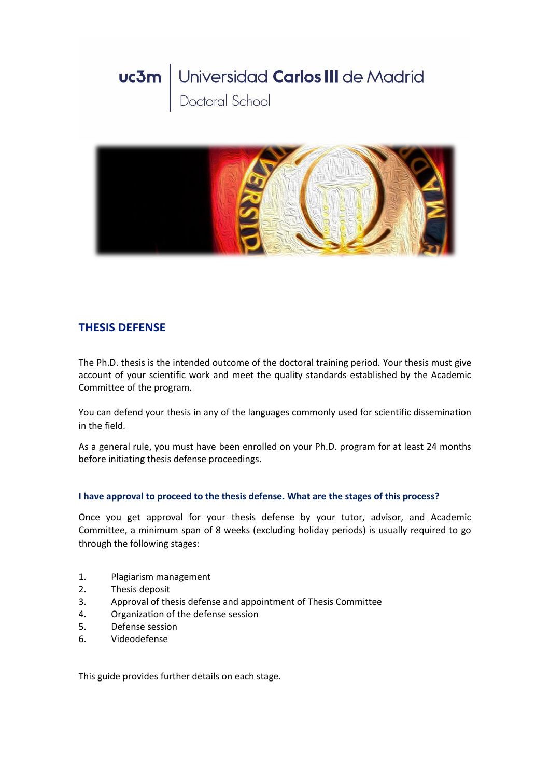# Universidad Carlos III de Madrid<br>Doctoral School uc3m



# **THESIS DEFENSE**

The Ph.D. thesis is the intended outcome of the doctoral training period. Your thesis must give account of your scientific work and meet the quality standards established by the Academic Committee of the program.

You can defend your thesis in any of the languages commonly used for scientific dissemination in the field.

As a general rule, you must have been enrolled on your Ph.D. program for at least 24 months before initiating thesis defense proceedings.

# **I have approval to proceed to the thesis defense. What are the stages of this process?**

Once you get approval for your thesis defense by your tutor, advisor, and Academic Committee, a minimum span of 8 weeks (excluding holiday periods) is usually required to go through the following stages:

- 1. Plagiarism management
- 2. Thesis deposit
- 3. Approval of thesis defense and appointment of Thesis Committee
- 4. Organization of the defense session
- 5. Defense session
- 6. Videodefense

This guide provides further details on each stage.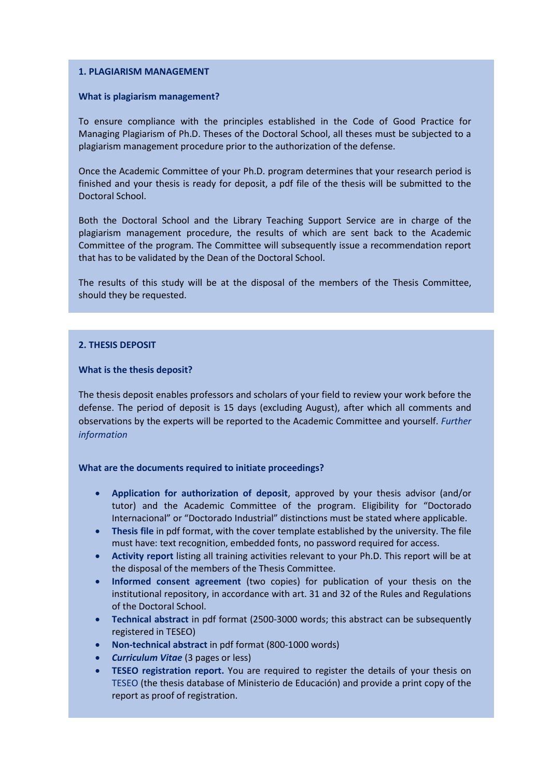# **1. PLAGIARISM MANAGEMENT**

#### **What is plagiarism management?**

To ensure compliance with the principles established in the Code of Good Practice for Managing Plagiarism of Ph.D. Theses of the Doctoral School, all theses must be subjected to a plagiarism management procedure prior to the authorization of the defense.

Once the Academic Committee of your Ph.D. program determines that your research period is finished and your thesis is ready for deposit, a pdf file of the thesis will be submitted to the Doctoral School.

Both the Doctoral School and the Library Teaching Support Service are in charge of the plagiarism management procedure, the results of which are sent back to the Academic Committee of the program. The Committee will subsequently issue a recommendation report that has to be validated by the Dean of the Doctoral School.

The results of this study will be at the disposal of the members of the Thesis Committee, should they be requested.

#### **2. THESIS DEPOSIT**

#### **What is the thesis deposit?**

The thesis deposit enables professors and scholars of your field to review your work before the defense. The period of deposit is 15 days (excluding August), after which all comments and observations by the experts will be reported to the Academic Committee and yourself. *[Further](https://www.uc3m.es/ss/Satellite/Doctorado/en/TextoMixta/1371211195901/Public_review_of_thesis)  [information](https://www.uc3m.es/ss/Satellite/Doctorado/en/TextoMixta/1371211195901/Public_review_of_thesis)*

#### **What are the documents required to initiate proceedings?**

- **[Application for authorization of deposit](https://www.uc3m.es/ss/Satellite?blobcol=urldata&blobheader=application%2Fvnd.openxmlformats-officedocument.wordprocessingml.document&blobheadername1=Content-Disposition&blobheadername2=Cache-Control&blobheadervalue1=attachment%3B+filename%3D%22Application_for_deposit.docx%22&blobheadervalue2=private&blobkey=id&blobtable=MungoBlobs&blobwhere=1371557412883&ssbinary=true)**, approved by your thesis advisor (and/or tutor) and the Academic Committee of the program. Eligibility for "Doctorado Internacional" or "Doctorado Industrial" distinctions must be stated where applicable.
- **Thesis file** in pdf format, with the cover template established by the university. The file must have: text recognition, embedded fonts, no password required for access.
- **[Activity report](https://www.uc3m.es/ss/Satellite/Doctorado/en/TextoMixta/1371211276999/)** listing all training activities relevant to your Ph.D. This report will be at the disposal of the members of the Thesis Committee.
- **[Informed consent agreement](https://www.uc3m.es/ss/Satellite?blobcol=urldata&blobheader=application%2Fpdf&blobheadername1=Content-Disposition&blobheadername2=Cache-Control&blobheadervalue1=attachment%3B+filename%3D%22Informed_consent_agreement.pdf%22&blobheadervalue2=private&blobkey=id&blobtable=MungoBlobs&blobwhere=1371557378752&ssbinary=true)** (two copies) for publication of your thesis on the institutional repository, in accordance with art. 31 and 32 of the Rules and Regulations of the Doctoral School.
- **Technical abstract** in pdf format (2500-3000 words; this abstract can be subsequently registered in TESEO)
- **Non-technical abstract** in pdf format (800-1000 words)
- *[Curriculum Vitae](https://www.uc3m.es/ss/Satellite?blobcol=urldata&blobheader=application%2Fvnd.openxmlformats-officedocument.wordprocessingml.document&blobheadername1=Content-Disposition&blobheadername2=Cache-Control&blobheadervalue1=attachment%3B+filename%3D%22Curriculum_Vitae.docx%22&blobheadervalue2=private&blobkey=id&blobtable=MungoBlobs&blobwhere=1371556786963&ssbinary=true)* (3 pages or less)
- **TESEO registration report.** You are required to register the details of your thesis on [TESEO](http://www.educacion.gob.es/teseo/) (the thesis database of Ministerio de Educación) and provide a print copy of the report as proof of registration.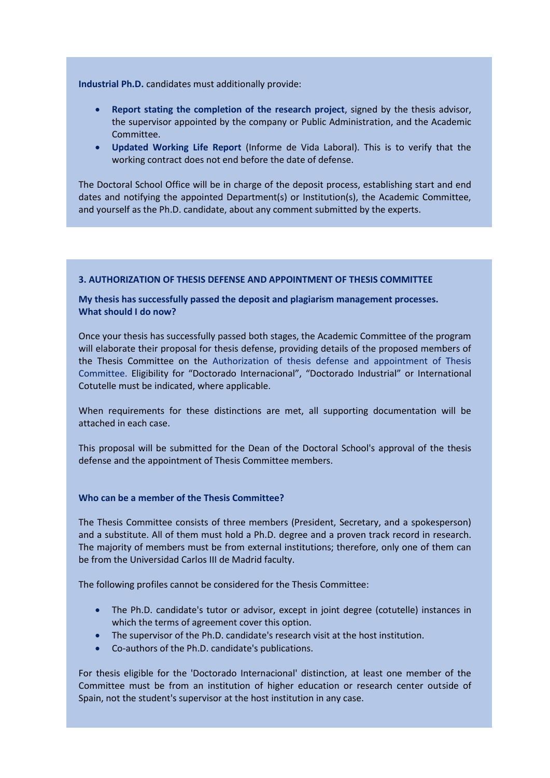**Industrial Ph.D.** candidates must additionally provide:

- **Report stating the completion of the research project**, signed by the thesis advisor, the supervisor appointed by the company or Public Administration, and the Academic Committee.
- **Updated Working Life Report** (Informe de Vida Laboral). This is to verify that the working contract does not end before the date of defense.

The Doctoral School Office will be in charge of the deposit process, establishing start and end dates and notifying the appointed Department(s) or Institution(s), the Academic Committee, and yourself as the Ph.D. candidate, about any comment submitted by the experts.

# **3. AUTHORIZATION OF THESIS DEFENSE AND APPOINTMENT OF THESIS COMMITTEE**

# **My thesis has successfully passed the deposit and plagiarism management processes. What should I do now?**

Once your thesis has successfully passed both stages, the Academic Committee of the program will elaborate their proposal for thesis defense, providing details of the proposed members of the Thesis Committee on the [Authorization of thesis defense and appointment of Thesis](https://www.uc3m.es/ss/Satellite?blobcol=urldata&blobheader=application%2Fmsword&blobheadername1=Content-Disposition&blobheadername2=Cache-Control&blobheadervalue1=attachment%3B+filename%3D%22Authorization_of_thesis_defense_and_appointment_of_Thesis_Committee.doc%22&blobheadervalue2=private&blobkey=id&blobtable=MungoBlobs&blobwhere=1371557482672&ssbinary=true)  [Committee.](https://www.uc3m.es/ss/Satellite?blobcol=urldata&blobheader=application%2Fmsword&blobheadername1=Content-Disposition&blobheadername2=Cache-Control&blobheadervalue1=attachment%3B+filename%3D%22Authorization_of_thesis_defense_and_appointment_of_Thesis_Committee.doc%22&blobheadervalue2=private&blobkey=id&blobtable=MungoBlobs&blobwhere=1371557482672&ssbinary=true) Eligibility for "Doctorado Internacional", "Doctorado Industrial" or International Cotutelle must be indicated, where applicable.

When requirements for these distinctions are met, all supporting documentation will be attached in each case.

This proposal will be submitted for the Dean of the Doctoral School's approval of the thesis defense and the appointment of Thesis Committee members.

#### **Who can be a member of the Thesis Committee?**

The Thesis Committee consists of three members (President, Secretary, and a spokesperson) and a substitute. All of them must hold a Ph.D. degree and a proven track record in research. The majority of members must be from external institutions; therefore, only one of them can be from the Universidad Carlos III de Madrid faculty.

The following profiles cannot be considered for the Thesis Committee:

- The Ph.D. candidate's tutor or advisor, except in joint degree (cotutelle) instances in which the terms of agreement cover this option.
- The supervisor of the Ph.D. candidate's research visit at the host institution.
- Co-authors of the Ph.D. candidate's publications.

For thesis eligible for the 'Doctorado Internacional' distinction, at least one member of the Committee must be from an institution of higher education or research center outside of Spain, not the student's supervisor at the host institution in any case.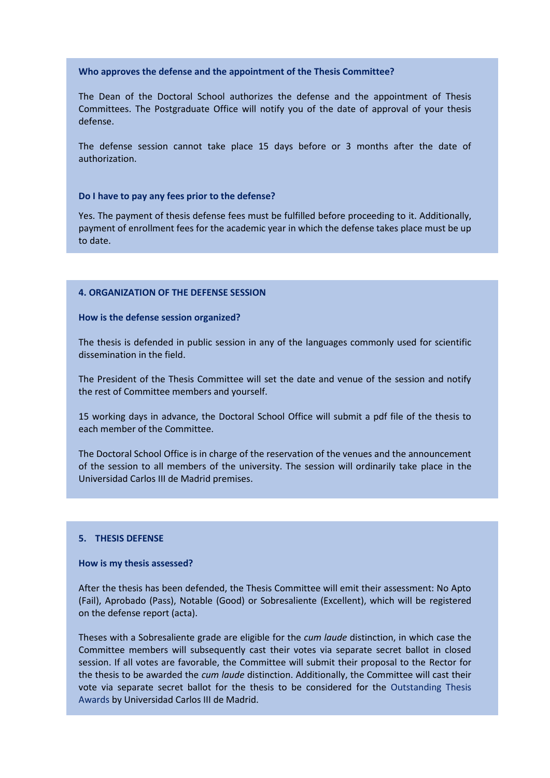#### **Who approves the defense and the appointment of the Thesis Committee?**

The Dean of the Doctoral School authorizes the defense and the appointment of Thesis Committees. The Postgraduate Office will notify you of the date of approval of your thesis defense.

The defense session cannot take place 15 days before or 3 months after the date of authorization.

#### **Do I have to pay any fees prior to the defense?**

Yes. The payment of thesis defense fees must be fulfilled before proceeding to it. Additionally, payment of enrollment fees for the academic year in which the defense takes place must be up to date.

#### **4. ORGANIZATION OF THE DEFENSE SESSION**

#### **How is the defense session organized?**

The thesis is defended in public session in any of the languages commonly used for scientific dissemination in the field.

The President of the Thesis Committee will set the date and venue of the session and notify the rest of Committee members and yourself.

15 working days in advance, the Doctoral School Office will submit a pdf file of the thesis to each member of the Committee.

The Doctoral School Office is in charge of the reservation of the venues and the announcement of the session to all members of the university. The session will ordinarily take place in the Universidad Carlos III de Madrid premises.

# **5. THESIS DEFENSE**

#### **How is my thesis assessed?**

After the thesis has been defended, the Thesis Committee will emit their assessment: No Apto (Fail), Aprobado (Pass), Notable (Good) or Sobresaliente (Excellent), which will be registered on the defense report (acta).

Theses with a Sobresaliente grade are eligible for the *cum laude* distinction, in which case the Committee members will subsequently cast their votes via separate secret ballot in closed session. If all votes are favorable, the Committee will submit their proposal to the Rector for the thesis to be awarded the *cum laude* distinction. Additionally, the Committee will cast their vote via separate secret ballot for the thesis to be considered for the [Outstanding Thesis](https://www.uc3m.es/ss/Satellite/Doctorado/en/TextoMixta/1371211867741/Outstanding_Thesis_Awards)  [Awards](https://www.uc3m.es/ss/Satellite/Doctorado/en/TextoMixta/1371211867741/Outstanding_Thesis_Awards) by Universidad Carlos III de Madrid.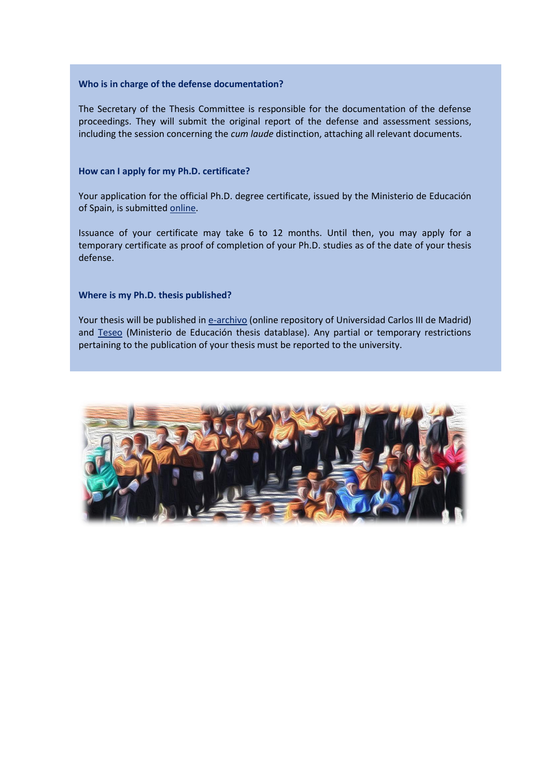# **Who is in charge of the defense documentation?**

The Secretary of the Thesis Committee is responsible for the documentation of the defense proceedings. They will submit the original report of the defense and assessment sessions, including the session concerning the *cum laude* distinction, attaching all relevant documents.

# **How can I apply for my Ph.D. certificate?**

Your application for the official Ph.D. degree certificate, issued by the Ministerio de Educación of Spain, is submitted [online.](https://www.uc3m.es/ss/Satellite/SecretariaVirtual/en/TextoMixta/1371218634571/Solicitud_de_Titulo_y_SET)

Issuance of your certificate may take 6 to 12 months. Until then, you may apply for a temporary certificate as proof of completion of your Ph.D. studies as of the date of your thesis defense.

# **Where is my Ph.D. thesis published?**

Your thesis will be published i[n e-archivo](https://e-archivo.uc3m.es/handle/10016/16124) (online repository of Universidad Carlos III de Madrid) and [Teseo](https://www.educacion.gob.es/teseo/irGestionarConsulta.doSi) (Ministerio de Educación thesis datablase). Any partial or temporary restrictions pertaining to the publication of your thesis must be reported to the university.